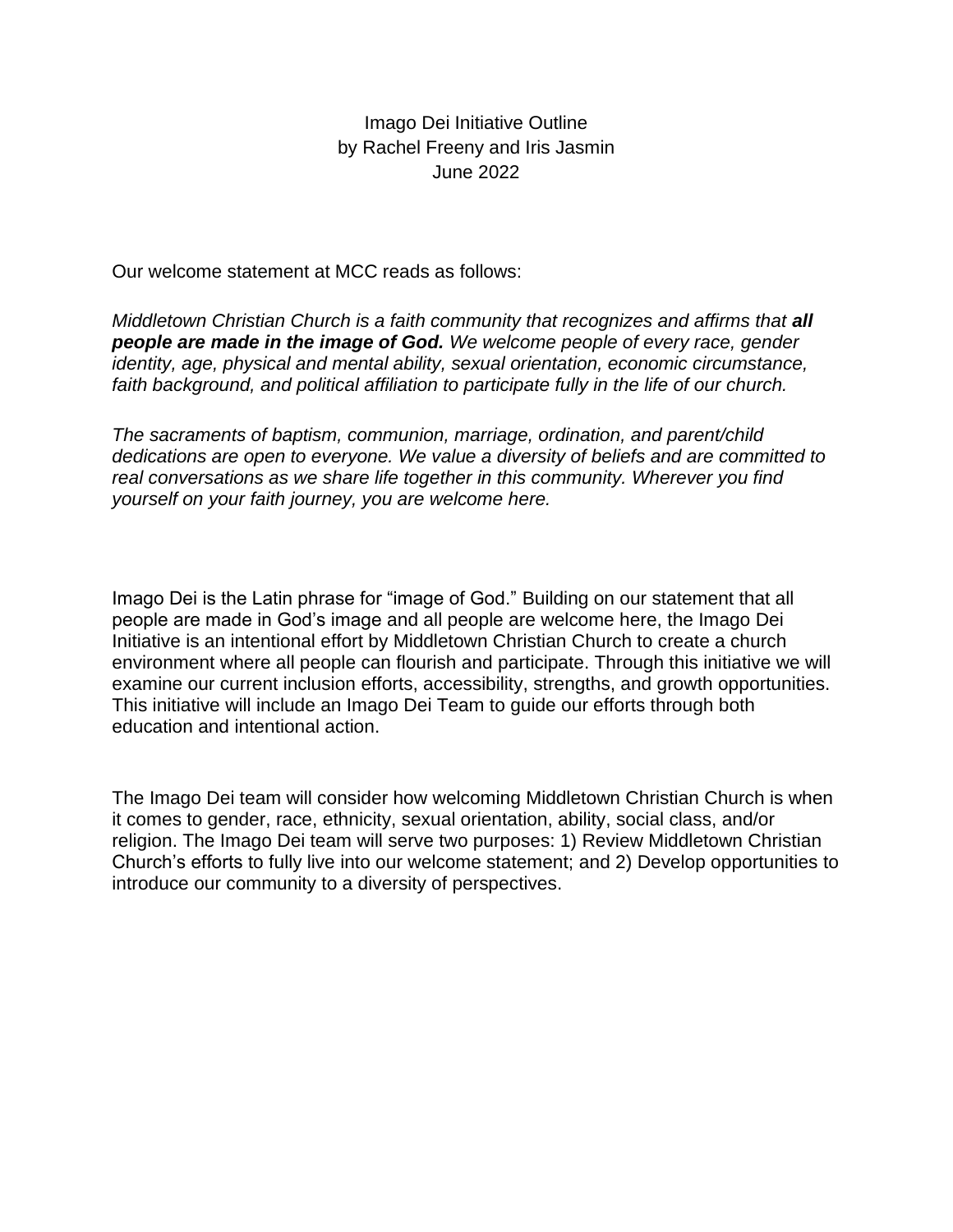Imago Dei Initiative Outline by Rachel Freeny and Iris Jasmin June 2022

Our welcome statement at MCC reads as follows:

*Middletown Christian Church is a faith community that recognizes and affirms that all people are made in the image of God. We welcome people of every race, gender identity, age, physical and mental ability, sexual orientation, economic circumstance, faith background, and political affiliation to participate fully in the life of our church.*

*The sacraments of baptism, communion, marriage, ordination, and parent/child dedications are open to everyone. We value a diversity of beliefs and are committed to real conversations as we share life together in this community. Wherever you find yourself on your faith journey, you are welcome here.*

Imago Dei is the Latin phrase for "image of God." Building on our statement that all people are made in God's image and all people are welcome here, the Imago Dei Initiative is an intentional effort by Middletown Christian Church to create a church environment where all people can flourish and participate. Through this initiative we will examine our current inclusion efforts, accessibility, strengths, and growth opportunities. This initiative will include an Imago Dei Team to guide our efforts through both education and intentional action.

The Imago Dei team will consider how welcoming Middletown Christian Church is when it comes to gender, race, ethnicity, sexual orientation, ability, social class, and/or religion. The Imago Dei team will serve two purposes: 1) Review Middletown Christian Church's efforts to fully live into our welcome statement; and 2) Develop opportunities to introduce our community to a diversity of perspectives.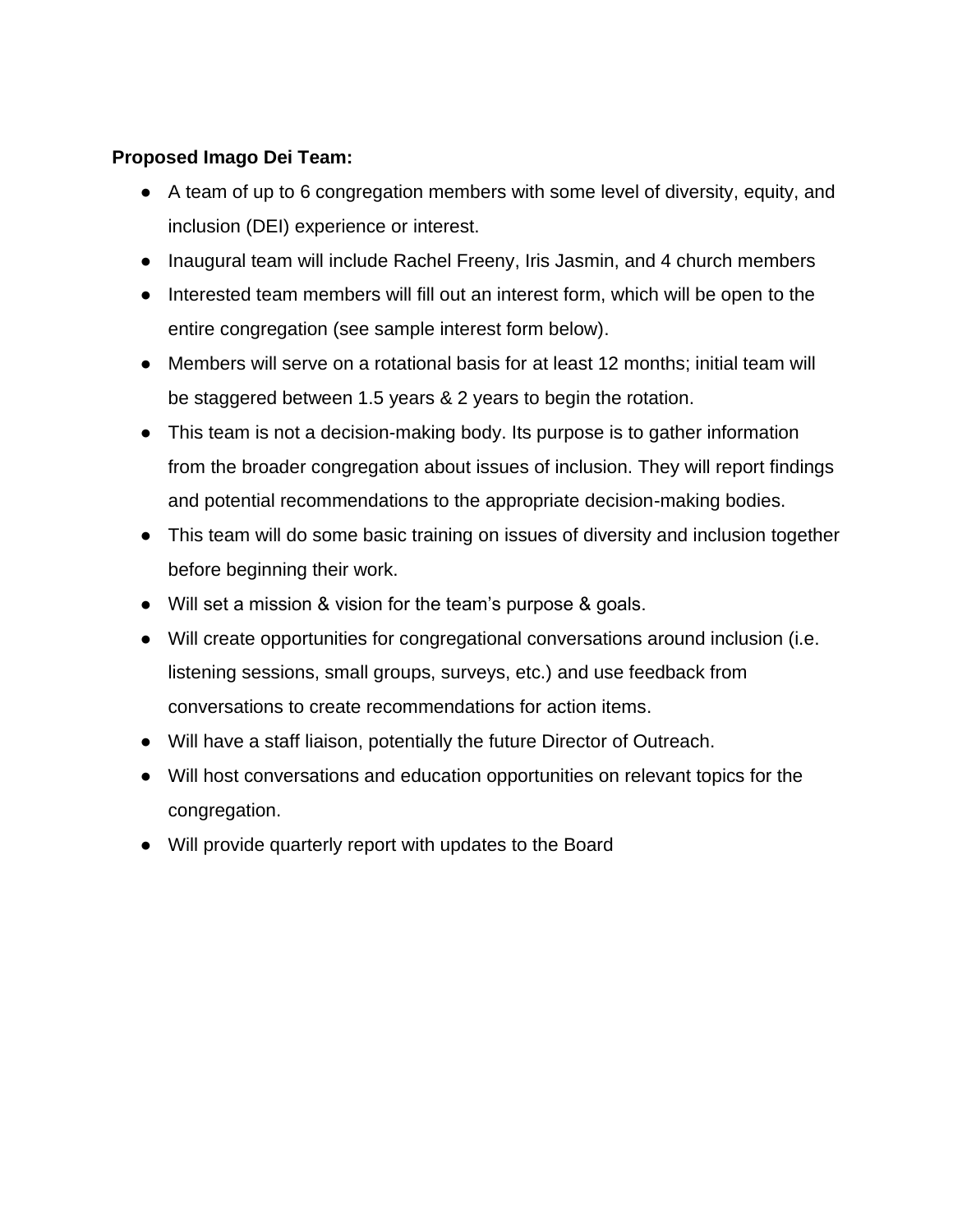## **Proposed Imago Dei Team:**

- A team of up to 6 congregation members with some level of diversity, equity, and inclusion (DEI) experience or interest.
- Inaugural team will include Rachel Freeny, Iris Jasmin, and 4 church members
- Interested team members will fill out an interest form, which will be open to the entire congregation (see sample interest form below).
- Members will serve on a rotational basis for at least 12 months; initial team will be staggered between 1.5 years & 2 years to begin the rotation.
- This team is not a decision-making body. Its purpose is to gather information from the broader congregation about issues of inclusion. They will report findings and potential recommendations to the appropriate decision-making bodies.
- This team will do some basic training on issues of diversity and inclusion together before beginning their work.
- Will set a mission & vision for the team's purpose & goals.
- Will create opportunities for congregational conversations around inclusion (i.e. listening sessions, small groups, surveys, etc.) and use feedback from conversations to create recommendations for action items.
- Will have a staff liaison, potentially the future Director of Outreach.
- Will host conversations and education opportunities on relevant topics for the congregation.
- Will provide quarterly report with updates to the Board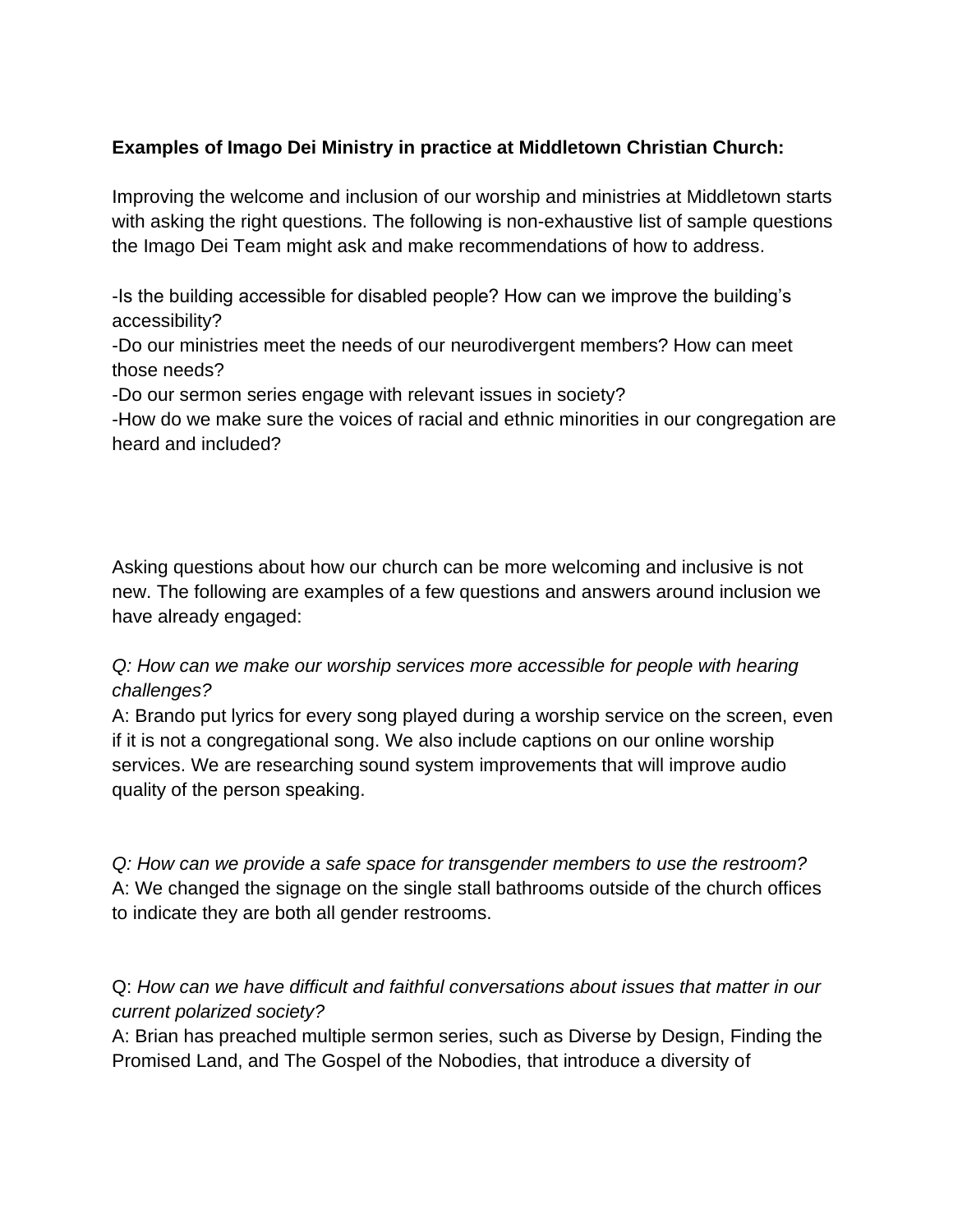## **Examples of Imago Dei Ministry in practice at Middletown Christian Church:**

Improving the welcome and inclusion of our worship and ministries at Middletown starts with asking the right questions. The following is non-exhaustive list of sample questions the Imago Dei Team might ask and make recommendations of how to address.

-Is the building accessible for disabled people? How can we improve the building's accessibility?

-Do our ministries meet the needs of our neurodivergent members? How can meet those needs?

-Do our sermon series engage with relevant issues in society?

-How do we make sure the voices of racial and ethnic minorities in our congregation are heard and included?

Asking questions about how our church can be more welcoming and inclusive is not new. The following are examples of a few questions and answers around inclusion we have already engaged:

*Q: How can we make our worship services more accessible for people with hearing challenges?*

A: Brando put lyrics for every song played during a worship service on the screen, even if it is not a congregational song. We also include captions on our online worship services. We are researching sound system improvements that will improve audio quality of the person speaking.

*Q: How can we provide a safe space for transgender members to use the restroom?* A: We changed the signage on the single stall bathrooms outside of the church offices to indicate they are both all gender restrooms.

Q: *How can we have difficult and faithful conversations about issues that matter in our current polarized society?* 

A: Brian has preached multiple sermon series, such as Diverse by Design, Finding the Promised Land, and The Gospel of the Nobodies, that introduce a diversity of